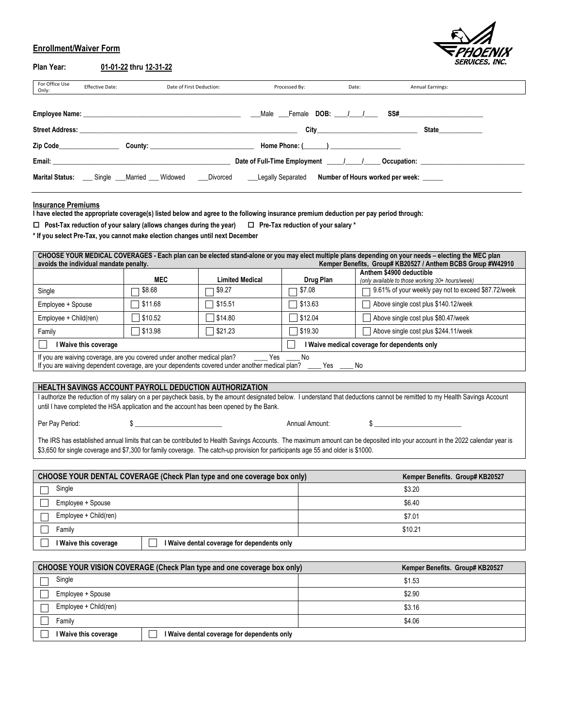# **Enrollment/Waiver Form**



**Plan Year: 01-01-22 thru 12-31-22** 

| For Office Use<br>Only: | <b>Effective Date:</b> | Date of First Deduction:                                                                                                                                                                                                      | Processed By:                    | Date:                             | Annual Earnings:                                                                                                                                                                                                               |
|-------------------------|------------------------|-------------------------------------------------------------------------------------------------------------------------------------------------------------------------------------------------------------------------------|----------------------------------|-----------------------------------|--------------------------------------------------------------------------------------------------------------------------------------------------------------------------------------------------------------------------------|
|                         |                        |                                                                                                                                                                                                                               |                                  |                                   |                                                                                                                                                                                                                                |
|                         |                        |                                                                                                                                                                                                                               | Male Female DOB:                 |                                   | SS# Production of the contract of the contract of the contract of the contract of the contract of the contract of the contract of the contract of the contract of the contract of the contract of the contract of the contract |
| <b>Street Address:</b>  |                        | <u> 1980 - Jan James Sand, Amerikaansk politiker († 1908)</u>                                                                                                                                                                 |                                  | City <b>Called Structure City</b> | <b>State</b>                                                                                                                                                                                                                   |
| Zip Code                |                        | County: the country of the country of the country of the country of the country of the country of the country of the country of the country of the country of the country of the country of the country of the country of the | Home Phone: ( )                  |                                   |                                                                                                                                                                                                                                |
| Email:                  |                        |                                                                                                                                                                                                                               | Date of Full-Time Employment / / |                                   | Occupation: <b>compared to the compare</b>                                                                                                                                                                                     |
| <b>Marital Status:</b>  | Single Married Widowed | Divorced                                                                                                                                                                                                                      | <b>Legally Separated</b>         | Number of Hours worked per week:  |                                                                                                                                                                                                                                |

#### **Insurance Premiums**

**I have elected the appropriate coverage(s) listed below and agree to the following insurance premium deduction per pay period through:**

 **Post-Tax reduction of your salary (allows changes during the year) Pre-Tax reduction of your salary \***

**\* If you select Pre-Tax, you cannot make election changes until next December**

| CHOOSE YOUR MEDICAL COVERAGES - Each plan can be elected stand-alone or you may elect multiple plans depending on your needs – electing the MEC plan<br>Kemper Benefits, Group# KB20527 / Anthem BCBS Group #W42910<br>avoids the individual mandate penalty. |            |                 |           |                                                                              |  |  |  |  |
|---------------------------------------------------------------------------------------------------------------------------------------------------------------------------------------------------------------------------------------------------------------|------------|-----------------|-----------|------------------------------------------------------------------------------|--|--|--|--|
|                                                                                                                                                                                                                                                               | <b>MEC</b> | Limited Medical | Drug Plan | Anthem \$4900 deductible<br>(only available to those working 30+ hours/week) |  |  |  |  |
| Single                                                                                                                                                                                                                                                        | \$8.68     | \$9.27          | \$7.08    | 9.61% of your weekly pay not to exceed \$87.72/week                          |  |  |  |  |
| Employee + Spouse                                                                                                                                                                                                                                             | \$11.68    | \$15.51         | \$13.63   | Above single cost plus \$140.12/week                                         |  |  |  |  |
| Employee + Child(ren)                                                                                                                                                                                                                                         | \$10.52    | \$14.80         | \$12.04   | Above single cost plus \$80.47/week                                          |  |  |  |  |
| Family                                                                                                                                                                                                                                                        | \$13.98    | \$21.23         | \$19.30   | Above single cost plus \$244.11/week                                         |  |  |  |  |
| I Waive medical coverage for dependents only<br>I Waive this coverage                                                                                                                                                                                         |            |                 |           |                                                                              |  |  |  |  |
| If you are waiving coverage, are you covered under another medical plan?<br>Yes<br><b>No</b>                                                                                                                                                                  |            |                 |           |                                                                              |  |  |  |  |
| If you are waiving dependent coverage, are your dependents covered under another medical plan?<br>Yes<br>No                                                                                                                                                   |            |                 |           |                                                                              |  |  |  |  |

## **HEALTH SAVINGS ACCOUNT PAYROLL DEDUCTION AUTHORIZATION**

I authorize the reduction of my salary on a per paycheck basis, by the amount designated below. I understand that deductions cannot be remitted to my Health Savings Account until I have completed the HSA application and the account has been opened by the Bank.

Per Pay Period: \$ \_\_\_\_\_\_\_\_\_\_\_\_\_\_\_\_\_\_\_\_\_\_\_\_\_\_ Annual Amount: \$ \_\_\_\_\_\_\_\_\_\_\_\_\_\_\_\_\_\_\_\_\_\_\_\_\_\_

The IRS has established annual limits that can be contributed to Health Savings Accounts. The maximum amount can be deposited into your account in the 2022 calendar year is \$3,650 for single coverage and \$7,300 for family coverage. The catch-up provision for participants age 55 and older is \$1000.

| CHOOSE YOUR DENTAL COVERAGE (Check Plan type and one coverage box only) | Kemper Benefits. Group# KB20527 |  |  |  |
|-------------------------------------------------------------------------|---------------------------------|--|--|--|
| Single                                                                  | \$3.20                          |  |  |  |
| Employee + Spouse                                                       | \$6.40                          |  |  |  |
| Employee + Child(ren)                                                   | \$7.01                          |  |  |  |
| Family                                                                  | \$10.21                         |  |  |  |
| I Waive this coverage<br>I Waive dental coverage for dependents only    |                                 |  |  |  |

| CHOOSE YOUR VISION COVERAGE (Check Plan type and one coverage box only) | Kemper Benefits. Group# KB20527 |
|-------------------------------------------------------------------------|---------------------------------|
| Single                                                                  | \$1.53                          |
| Employee + Spouse                                                       | \$2.90                          |
| Employee + Child(ren)                                                   | \$3.16                          |
| Family                                                                  | \$4.06                          |
| l Waive this coverage<br>l Waive dental coverage for dependents only    |                                 |